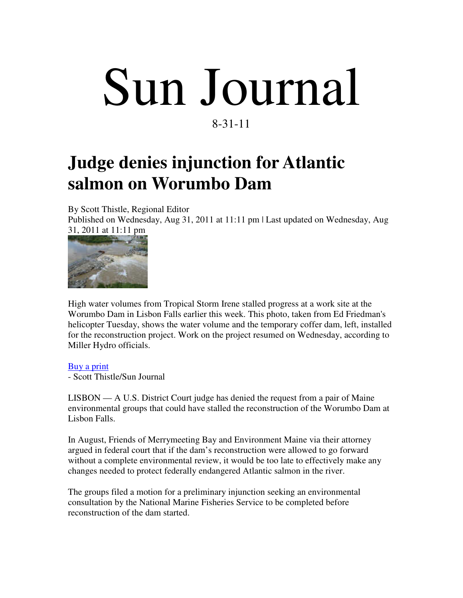## Sun Journal 8-31-11

## **Judge denies injunction for Atlantic salmon on Worumbo Dam**

By Scott Thistle, Regional Editor

Published on Wednesday, Aug 31, 2011 at 11:11 pm | Last updated on Wednesday, Aug 31, 2011 at 11:11 pm



High water volumes from Tropical Storm Irene stalled progress at a work site at the Worumbo Dam in Lisbon Falls earlier this week. This photo, taken from Ed Friedman's helicopter Tuesday, shows the water volume and the temporary coffer dam, left, installed for the reconstruction project. Work on the project resumed on Wednesday, according to Miller Hydro officials.

## Buy a print

- Scott Thistle/Sun Journal

LISBON — A U.S. District Court judge has denied the request from a pair of Maine environmental groups that could have stalled the reconstruction of the Worumbo Dam at Lisbon Falls.

In August, Friends of Merrymeeting Bay and Environment Maine via their attorney argued in federal court that if the dam's reconstruction were allowed to go forward without a complete environmental review, it would be too late to effectively make any changes needed to protect federally endangered Atlantic salmon in the river.

The groups filed a motion for a preliminary injunction seeking an environmental consultation by the National Marine Fisheries Service to be completed before reconstruction of the dam started.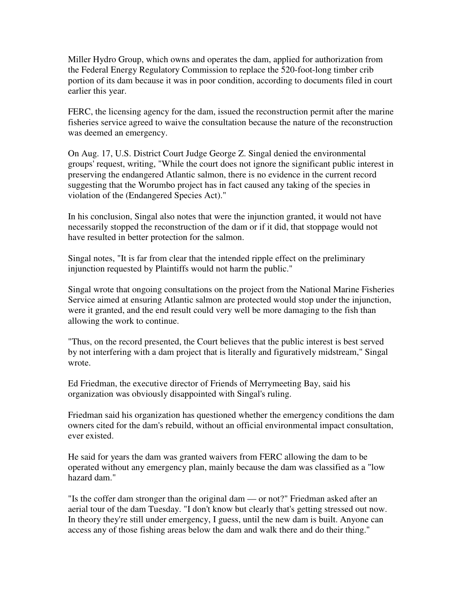Miller Hydro Group, which owns and operates the dam, applied for authorization from the Federal Energy Regulatory Commission to replace the 520-foot-long timber crib portion of its dam because it was in poor condition, according to documents filed in court earlier this year.

FERC, the licensing agency for the dam, issued the reconstruction permit after the marine fisheries service agreed to waive the consultation because the nature of the reconstruction was deemed an emergency.

On Aug. 17, U.S. District Court Judge George Z. Singal denied the environmental groups' request, writing, "While the court does not ignore the significant public interest in preserving the endangered Atlantic salmon, there is no evidence in the current record suggesting that the Worumbo project has in fact caused any taking of the species in violation of the (Endangered Species Act)."

In his conclusion, Singal also notes that were the injunction granted, it would not have necessarily stopped the reconstruction of the dam or if it did, that stoppage would not have resulted in better protection for the salmon.

Singal notes, "It is far from clear that the intended ripple effect on the preliminary injunction requested by Plaintiffs would not harm the public."

Singal wrote that ongoing consultations on the project from the National Marine Fisheries Service aimed at ensuring Atlantic salmon are protected would stop under the injunction, were it granted, and the end result could very well be more damaging to the fish than allowing the work to continue.

"Thus, on the record presented, the Court believes that the public interest is best served by not interfering with a dam project that is literally and figuratively midstream," Singal wrote.

Ed Friedman, the executive director of Friends of Merrymeeting Bay, said his organization was obviously disappointed with Singal's ruling.

Friedman said his organization has questioned whether the emergency conditions the dam owners cited for the dam's rebuild, without an official environmental impact consultation, ever existed.

He said for years the dam was granted waivers from FERC allowing the dam to be operated without any emergency plan, mainly because the dam was classified as a "low hazard dam."

"Is the coffer dam stronger than the original dam — or not?" Friedman asked after an aerial tour of the dam Tuesday. "I don't know but clearly that's getting stressed out now. In theory they're still under emergency, I guess, until the new dam is built. Anyone can access any of those fishing areas below the dam and walk there and do their thing."